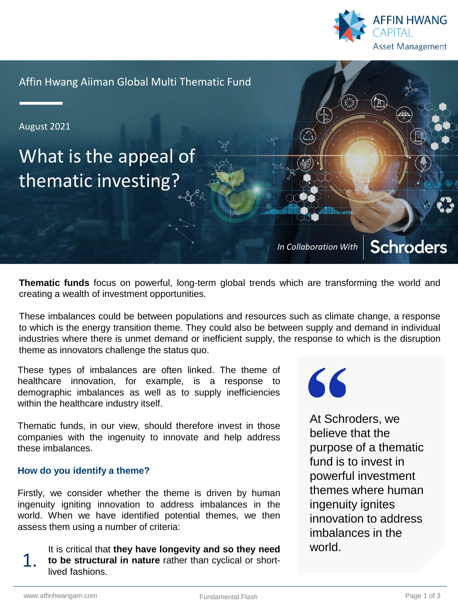

Affin Hwang Aiiman Global Multi Thematic Fund

August 2021

# What is the appeal of thematic investing?

**Schroders** *In Collaboration With*

**Thematic funds** focus on powerful, long-term global trends which are transforming the world and creating a wealth of investment opportunities.

These imbalances could be between populations and resources such as climate change, a response to which is the energy transition theme. They could also be between supply and demand in individual industries where there is unmet demand or inefficient supply, the response to which is the disruption theme as innovators challenge the status quo.

These types of imbalances are often linked. The theme of healthcare innovation, for example, is a response to demographic imbalances as well as to supply inefficiencies within the healthcare industry itself.

Thematic funds, in our view, should therefore invest in those companies with the ingenuity to innovate and help address these imbalances.

## **How do you identify a theme?**

Firstly, we consider whether the theme is driven by human ingenuity igniting innovation to address imbalances in the world. When we have identified potential themes, we then assess them using a number of criteria:

It is critical that **they have longevity and so they need to be structural in nature** rather than cyclical or shortlived fashions. 1.



At Schroders, we believe that the purpose of a thematic fund is to invest in powerful investment themes where human ingenuity ignites innovation to address imbalances in the world.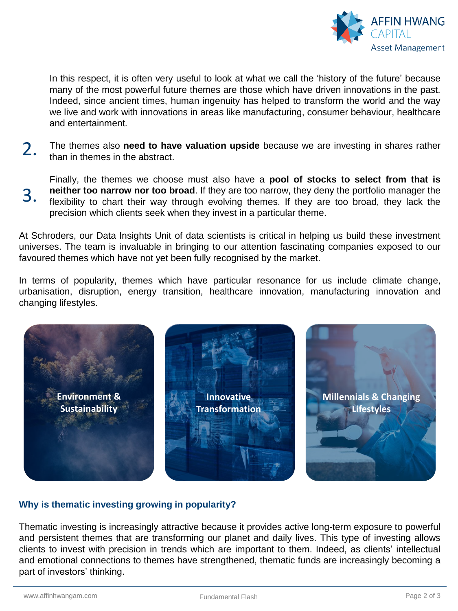

In this respect, it is often very useful to look at what we call the 'history of the future' because many of the most powerful future themes are those which have driven innovations in the past. Indeed, since ancient times, human ingenuity has helped to transform the world and the way we live and work with innovations in areas like manufacturing, consumer behaviour, healthcare and entertainment.

The themes also **need to have valuation upside** because we are investing in shares rather than in themes in the abstract. 2.

Finally, the themes we choose must also have a **pool of stocks to select from that is neither too narrow nor too broad**. If they are too narrow, they deny the portfolio manager the flexibility to chart their way through evolving themes. If they are too broad, they lack the precision which clients seek when they invest in a particular theme. 3.

At Schroders, our Data Insights Unit of data scientists is critical in helping us build these investment universes. The team is invaluable in bringing to our attention fascinating companies exposed to our favoured themes which have not yet been fully recognised by the market.

In terms of popularity, themes which have particular resonance for us include climate change, urbanisation, disruption, energy transition, healthcare innovation, manufacturing innovation and changing lifestyles.



## **Why is thematic investing growing in popularity?**

Thematic investing is increasingly attractive because it provides active long-term exposure to powerful and persistent themes that are transforming our planet and daily lives. This type of investing allows clients to invest with precision in trends which are important to them. Indeed, as clients' intellectual and emotional connections to themes have strengthened, thematic funds are increasingly becoming a part of investors' thinking.